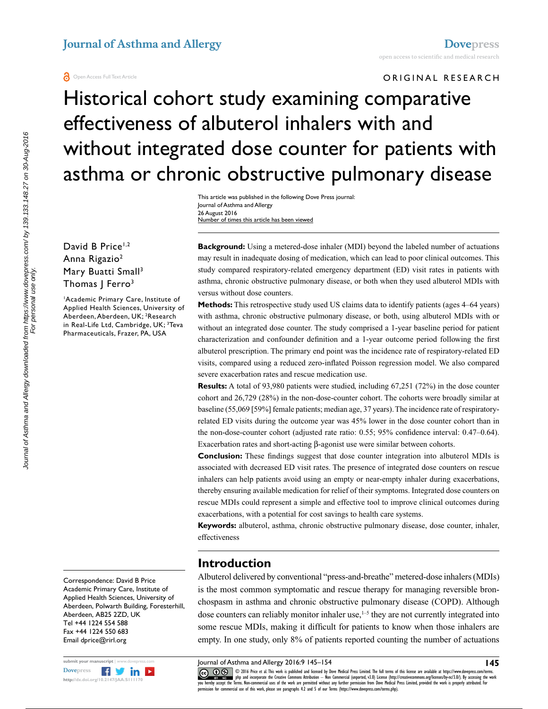#### ORIGINAL RESEARCH

# Historical cohort study examining comparative effectiveness of albuterol inhalers with and without integrated dose counter for patients with asthma or chronic obstructive pulmonary disease

This article was published in the following Dove Press journal: Journal of Asthma and Allergy 26 August 2016 Number of times this article has been viewed

David B Price<sup>1,2</sup> Anna Rigazio2 Mary Buatti Small<sup>3</sup> Thomas J Ferro<sup>3</sup>

1 Academic Primary Care, Institute of Applied Health Sciences, University of Aberdeen, Aberdeen, UK; 2 Research in Real-Life Ltd, Cambridge, UK; <sup>3</sup>Teva Pharmaceuticals, Frazer, PA, USA

Correspondence: David B Price Academic Primary Care, Institute of Applied Health Sciences, University of Aberdeen, Polwarth Building, Foresterhill, Aberdeen, AB25 2ZD, UK Tel +44 1224 554 588 Fax +44 1224 550 683 Email [dprice@rirl.org](mailto:dprice@rirl.org)



**Background:** Using a metered-dose inhaler (MDI) beyond the labeled number of actuations may result in inadequate dosing of medication, which can lead to poor clinical outcomes. This study compared respiratory-related emergency department (ED) visit rates in patients with asthma, chronic obstructive pulmonary disease, or both when they used albuterol MDIs with versus without dose counters.

**Methods:** This retrospective study used US claims data to identify patients (ages 4–64 years) with asthma, chronic obstructive pulmonary disease, or both, using albuterol MDIs with or without an integrated dose counter. The study comprised a 1-year baseline period for patient characterization and confounder definition and a 1-year outcome period following the first albuterol prescription. The primary end point was the incidence rate of respiratory-related ED visits, compared using a reduced zero-inflated Poisson regression model. We also compared severe exacerbation rates and rescue medication use.

**Results:** A total of 93,980 patients were studied, including 67,251 (72%) in the dose counter cohort and 26,729 (28%) in the non-dose-counter cohort. The cohorts were broadly similar at baseline (55,069 [59%] female patients; median age, 37 years). The incidence rate of respiratoryrelated ED visits during the outcome year was 45% lower in the dose counter cohort than in the non-dose-counter cohort (adjusted rate ratio: 0.55; 95% confidence interval: 0.47–0.64). Exacerbation rates and short-acting β-agonist use were similar between cohorts.

**Conclusion:** These findings suggest that dose counter integration into albuterol MDIs is associated with decreased ED visit rates. The presence of integrated dose counters on rescue inhalers can help patients avoid using an empty or near-empty inhaler during exacerbations, thereby ensuring available medication for relief of their symptoms. Integrated dose counters on rescue MDIs could represent a simple and effective tool to improve clinical outcomes during exacerbations, with a potential for cost savings to health care systems.

**Keywords:** albuterol, asthma, chronic obstructive pulmonary disease, dose counter, inhaler, effectiveness

## **Introduction**

Albuterol delivered by conventional "press-and-breathe" metered-dose inhalers (MDIs) is the most common symptomatic and rescue therapy for managing reversible bronchospasm in asthma and chronic obstructive pulmonary disease (COPD). Although dose counters can reliably monitor inhaler use,<sup>1-5</sup> they are not currently integrated into some rescue MDIs, making it difficult for patients to know when those inhalers are empty. In one study, only 8% of patients reported counting the number of actuations

Journal of Asthma and Allergy 2016:9 145–154

**COD** © 2016 Price et al. This work is published and licensed by Dove Medical Press Limited. The full terms of this license are available at https://www.dovepress.com/terms.<br>
you hereby accept the Terms. Non-commercial use CODI6 Price et al. This work is published and licensed by Dove Medical Press Limited. The full terms of this license are available at https://www.dovepress.com/terms.<br>You hereby accept the Terms. Non-commercial uses of the  $m$ ission for commercial use of this work, please see paragraphs  $4.2$  and  $5$  of our Terms (https://www.dovepress.com/terms.php).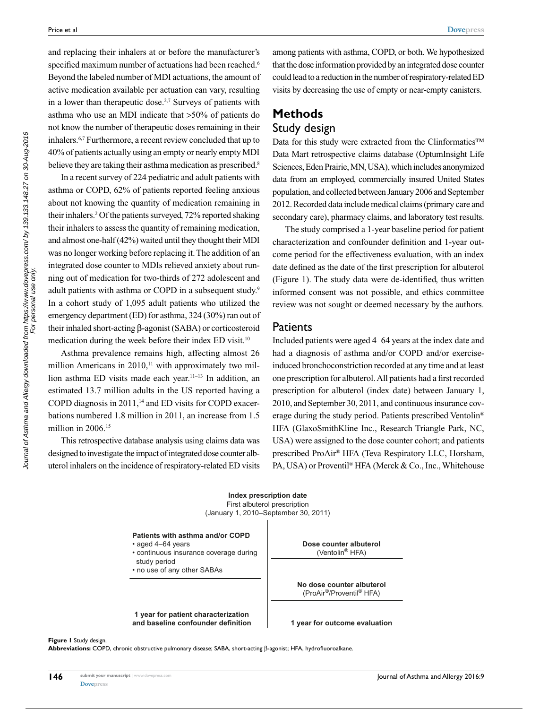**[Dovepress](www.dovepress.com)**

and replacing their inhalers at or before the manufacturer's specified maximum number of actuations had been reached.<sup>6</sup> Beyond the labeled number of MDI actuations, the amount of active medication available per actuation can vary, resulting in a lower than therapeutic dose.<sup>2,7</sup> Surveys of patients with asthma who use an MDI indicate that >50% of patients do not know the number of therapeutic doses remaining in their inhalers.6,7 Furthermore, a recent review concluded that up to 40% of patients actually using an empty or nearly empty MDI believe they are taking their asthma medication as prescribed.<sup>8</sup>

In a recent survey of 224 pediatric and adult patients with asthma or COPD, 62% of patients reported feeling anxious about not knowing the quantity of medication remaining in their inhalers.2 Of the patients surveyed, 72% reported shaking their inhalers to assess the quantity of remaining medication, and almost one-half (42%) waited until they thought their MDI was no longer working before replacing it. The addition of an integrated dose counter to MDIs relieved anxiety about running out of medication for two-thirds of 272 adolescent and adult patients with asthma or COPD in a subsequent study.<sup>9</sup> In a cohort study of 1,095 adult patients who utilized the emergency department (ED) for asthma, 324 (30%) ran out of their inhaled short-acting β-agonist (SABA) or corticosteroid medication during the week before their index ED visit.10

Asthma prevalence remains high, affecting almost 26 million Americans in  $2010$ ,<sup> $11$ </sup> with approximately two million asthma ED visits made each year.11–13 In addition, an estimated 13.7 million adults in the US reported having a COPD diagnosis in 2011,<sup>14</sup> and ED visits for COPD exacerbations numbered 1.8 million in 2011, an increase from 1.5 million in 2006.<sup>15</sup>

This retrospective database analysis using claims data was designed to investigate the impact of integrated dose counter albuterol inhalers on the incidence of respiratory-related ED visits

among patients with asthma, COPD, or both. We hypothesized that the dose information provided by an integrated dose counter could lead to a reduction in the number of respiratory-related ED visits by decreasing the use of empty or near-empty canisters.

## **Methods** Study design

Data for this study were extracted from the Clinformatics™ Data Mart retrospective claims database (OptumInsight Life Sciences, Eden Prairie, MN, USA), which includes anonymized data from an employed, commercially insured United States population, and collected between January 2006 and September 2012. Recorded data include medical claims (primary care and secondary care), pharmacy claims, and laboratory test results.

The study comprised a 1-year baseline period for patient characterization and confounder definition and 1-year outcome period for the effectiveness evaluation, with an index date defined as the date of the first prescription for albuterol (Figure 1). The study data were de-identified, thus written informed consent was not possible, and ethics committee review was not sought or deemed necessary by the authors.

### **Patients**

Included patients were aged 4–64 years at the index date and had a diagnosis of asthma and/or COPD and/or exerciseinduced bronchoconstriction recorded at any time and at least one prescription for albuterol. All patients had a first recorded prescription for albuterol (index date) between January 1, 2010, and September 30, 2011, and continuous insurance coverage during the study period. Patients prescribed Ventolin® HFA (GlaxoSmithKline Inc., Research Triangle Park, NC, USA) were assigned to the dose counter cohort; and patients prescribed ProAir® HFA (Teva Respiratory LLC, Horsham, PA, USA) or Proventil® HFA (Merck & Co., Inc., Whitehouse



**Patients with asthma and/or COPD**

- aged 4–64 years
- continuous insurance coverage during study period
- no use of any other SABAs

**1 year for patient characterization and baseline confounder definition**



**No dose counter albuterol** (ProAir®/Proventil® HFA)

**1 year for outcome evaluation**

**Figure 1** Study design.

**Abbreviations:** COPD, chronic obstructive pulmonary disease; SABA, short-acting β-agonist; HFA, hydrofluoroalkane.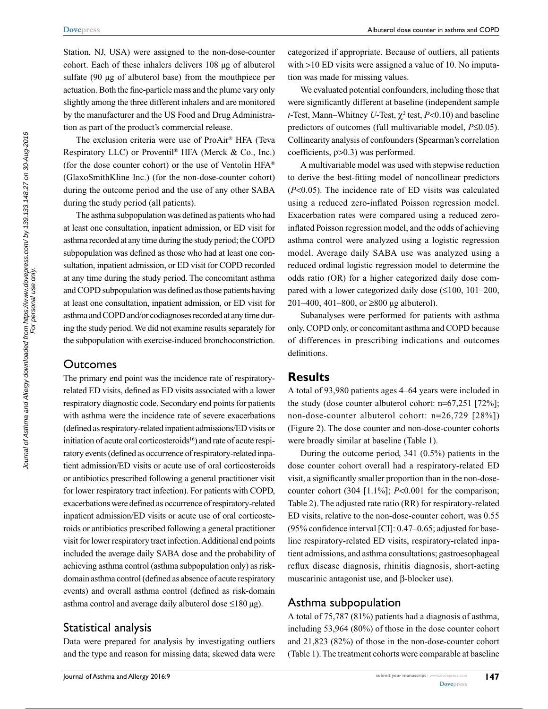Station, NJ, USA) were assigned to the non-dose-counter cohort. Each of these inhalers delivers 108 μg of albuterol sulfate (90 μg of albuterol base) from the mouthpiece per actuation. Both the fine-particle mass and the plume vary only slightly among the three different inhalers and are monitored by the manufacturer and the US Food and Drug Administration as part of the product's commercial release.

The exclusion criteria were use of ProAir® HFA (Teva Respiratory LLC) or Proventil® HFA (Merck & Co., Inc.) (for the dose counter cohort) or the use of Ventolin  $HFA^{\otimes}$ (GlaxoSmithKline Inc.) (for the non-dose-counter cohort) during the outcome period and the use of any other SABA during the study period (all patients).

The asthma subpopulation was defined as patients who had at least one consultation, inpatient admission, or ED visit for asthma recorded at any time during the study period; the COPD subpopulation was defined as those who had at least one consultation, inpatient admission, or ED visit for COPD recorded at any time during the study period. The concomitant asthma and COPD subpopulation was defined as those patients having at least one consultation, inpatient admission, or ED visit for asthma and COPD and/or codiagnoses recorded at any time during the study period. We did not examine results separately for the subpopulation with exercise-induced bronchoconstriction.

## **Outcomes**

The primary end point was the incidence rate of respiratoryrelated ED visits, defined as ED visits associated with a lower respiratory diagnostic code. Secondary end points for patients with asthma were the incidence rate of severe exacerbations (defined as respiratory-related inpatient admissions/ED visits or initiation of acute oral corticosteroids<sup>16</sup>) and rate of acute respiratory events (defined as occurrence of respiratory-related inpatient admission/ED visits or acute use of oral corticosteroids or antibiotics prescribed following a general practitioner visit for lower respiratory tract infection). For patients with COPD, exacerbations were defined as occurrence of respiratory-related inpatient admission/ED visits or acute use of oral corticosteroids or antibiotics prescribed following a general practitioner visit for lower respiratory tract infection. Additional end points included the average daily SABA dose and the probability of achieving asthma control (asthma subpopulation only) as riskdomain asthma control (defined as absence of acute respiratory events) and overall asthma control (defined as risk-domain asthma control and average daily albuterol dose ≤180 µg).

## Statistical analysis

Data were prepared for analysis by investigating outliers and the type and reason for missing data; skewed data were categorized if appropriate. Because of outliers, all patients with >10 ED visits were assigned a value of 10. No imputation was made for missing values.

We evaluated potential confounders, including those that were significantly different at baseline (independent sample *t*-Test, Mann–Whitney *U*-Test,  $\chi^2$  test,  $P<0.10$ ) and baseline predictors of outcomes (full multivariable model, *P*≤0.05). Collinearity analysis of confounders (Spearman's correlation coefficients, ρ>0.3) was performed.

A multivariable model was used with stepwise reduction to derive the best-fitting model of noncollinear predictors (*P*<0.05). The incidence rate of ED visits was calculated using a reduced zero-inflated Poisson regression model. Exacerbation rates were compared using a reduced zeroinflated Poisson regression model, and the odds of achieving asthma control were analyzed using a logistic regression model. Average daily SABA use was analyzed using a reduced ordinal logistic regression model to determine the odds ratio (OR) for a higher categorized daily dose compared with a lower categorized daily dose (≤100, 101–200, 201–400, 401–800, or ≥800 µg albuterol).

Subanalyses were performed for patients with asthma only, COPD only, or concomitant asthma and COPD because of differences in prescribing indications and outcomes definitions.

## **Results**

A total of 93,980 patients ages 4–64 years were included in the study (dose counter albuterol cohort: n=67,251 [72%]; non-dose-counter albuterol cohort: n=26,729 [28%]) (Figure 2). The dose counter and non-dose-counter cohorts were broadly similar at baseline (Table 1).

During the outcome period, 341 (0.5%) patients in the dose counter cohort overall had a respiratory-related ED visit, a significantly smaller proportion than in the non-dosecounter cohort (304 [1.1%]; *P*<0.001 for the comparison; Table 2). The adjusted rate ratio (RR) for respiratory-related ED visits, relative to the non-dose-counter cohort, was 0.55 (95% confidence interval [CI]: 0.47–0.65; adjusted for baseline respiratory-related ED visits, respiratory-related inpatient admissions, and asthma consultations; gastroesophageal reflux disease diagnosis, rhinitis diagnosis, short-acting muscarinic antagonist use, and β-blocker use).

## Asthma subpopulation

A total of 75,787 (81%) patients had a diagnosis of asthma, including 53,964 (80%) of those in the dose counter cohort and 21,823 (82%) of those in the non-dose-counter cohort (Table 1). The treatment cohorts were comparable at baseline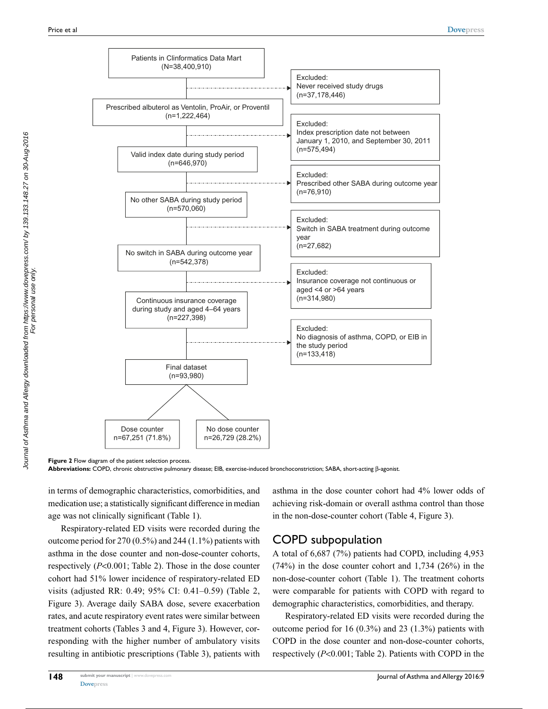

**Figure 2** Flow diagram of the patient selection process.

**Abbreviations:** COPD, chronic obstructive pulmonary disease; EIB, exercise-induced bronchoconstriction; SABA, short-acting β-agonist.

in terms of demographic characteristics, comorbidities, and medication use; a statistically significant difference in median age was not clinically significant (Table 1).

Respiratory-related ED visits were recorded during the outcome period for 270 (0.5%) and 244 (1.1%) patients with asthma in the dose counter and non-dose-counter cohorts, respectively (*P*<0.001; Table 2). Those in the dose counter cohort had 51% lower incidence of respiratory-related ED visits (adjusted RR: 0.49; 95% CI: 0.41–0.59) (Table 2, Figure 3). Average daily SABA dose, severe exacerbation rates, and acute respiratory event rates were similar between treatment cohorts (Tables 3 and 4, Figure 3). However, corresponding with the higher number of ambulatory visits resulting in antibiotic prescriptions (Table 3), patients with

asthma in the dose counter cohort had 4% lower odds of achieving risk-domain or overall asthma control than those in the non-dose-counter cohort (Table 4, Figure 3).

## COPD subpopulation

A total of 6,687 (7%) patients had COPD, including 4,953 (74%) in the dose counter cohort and 1,734 (26%) in the non-dose-counter cohort (Table 1). The treatment cohorts were comparable for patients with COPD with regard to demographic characteristics, comorbidities, and therapy.

Respiratory-related ED visits were recorded during the outcome period for 16 (0.3%) and 23 (1.3%) patients with COPD in the dose counter and non-dose-counter cohorts, respectively (*P*<0.001; Table 2). Patients with COPD in the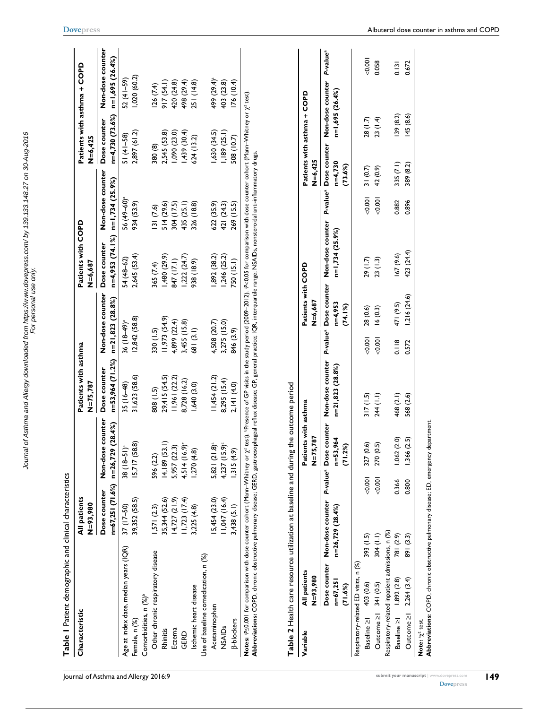| Characteristic                                   | All patients<br>N=93,980 |                                                            | Patients with asthma<br>N=75.787 |                                                           | Patients with COPD<br>N=6,687 |                                                       | Patients with asthma + COPD<br>$N = 6,425$ |                                                         |
|--------------------------------------------------|--------------------------|------------------------------------------------------------|----------------------------------|-----------------------------------------------------------|-------------------------------|-------------------------------------------------------|--------------------------------------------|---------------------------------------------------------|
|                                                  | Dose counter             | counter<br>n=67,25 l (7 l 6%) n=26,729 (28.4%)<br>Non-dose | Dose counter                     | Non-dose counter<br>$n=53,964$ (71.2%) $n=21,823$ (28.8%) | Dose counter                  | Non-dose counter<br>$n=4,953(74.1%)$ $n=1,734(25.9%)$ | Dose counter                               | Non-dose counter<br>$n=4,730(73.6\%)$ $n=1,695(26.4\%)$ |
| Age at index date, median years (IQR) 37 (17-50) |                          | $38(18-51)^{a}$                                            | $35(16-48)$                      | $36(18-49)^{a}$                                           | 54 (48-62)                    | 56 (49-60) <sup>a</sup>                               | $51(41-58)$                                | $52(41-59)$                                             |
| Female, n (%)                                    | 39,352 (58.5)            | 5,717 (58.8)                                               | 31,623 (58.6)                    | 12,842 (58.8)                                             | 2,645 (53.4)                  | 934 (53.9)                                            | 2,897 (61.2)                               | ,020 (60.2)                                             |
| Comorbidities, n (%) <sup>b</sup>                |                          |                                                            |                                  |                                                           |                               |                                                       |                                            |                                                         |
| Other chronic respiratory disease                | 1,571 (2.3)              | 596 (2.2)                                                  | 808 (1.5)                        | 330 (1.5)                                                 | 365 (7.4)                     | 131 (7.6)                                             | 380 (8)                                    | 126(7.4)                                                |
| <b>Rhinitis</b>                                  | 35,344 (52.6)            | (4, 189(53.1))                                             | 29,415 (54.5)                    | 11,973 (54.9)                                             | ,480 (29.9)                   | 514 (29.6)                                            | 2,545 (53.8)                               | 917(54.1)                                               |
| Eczema                                           | $14,727$ $(21.9)$        | 5,957 (22.3)                                               | 11,961(22.2)                     | 4,899 (22.4)                                              | 847 (17.1)                    | 304 (17.5)                                            | (0.500(2)                                  | 420 (24.8)                                              |
| GERD                                             | $1,723$ $(17.4)$         | $4,514(16.9)^c$                                            | 8,728 (16.2)                     | 3,455 (15.8)                                              | ,222(24.7)                    | 435 (25.1)                                            | (30.4)                                     | 498 (29.4)                                              |
| Ischemic heart disease                           | 3,225 (4.8)              | .270(4.8)                                                  | ,640(3.0)                        | 681 (3.1)                                                 | 938 (18.9)                    | 326 (18.8)                                            | 624 (13.2)                                 | 251 (14.8)                                              |
| Use of baseline comedication, n (%)              |                          |                                                            |                                  |                                                           |                               |                                                       |                                            |                                                         |
| Acetaminophen                                    | 15,454(23.0)             | 5,821 (21.8) <sup>a</sup>                                  | 11,454 (21.2)                    | 4,508 (20.7)                                              | 892 (38.2)                    | 622 (35.9)                                            | (34.5)                                     | 499 (29.4)ª                                             |
| NSAIDs                                           | ,047 (16.4)              | $4,237$ (15.9)                                             | 8,295 (15.4)                     | 3,275 (15.0)                                              | ,246(25.2)                    | 421 (24.3)                                            | ,189(25.1)                                 | 403 (23.8)                                              |
| <b>B-blockers</b>                                | 3,438(5.1)               | 1,315(4.9)                                                 | 2.141 (4.0)                      | 846 (3.9)                                                 | 750 (15.1)                    | 269 (15.5)                                            | 508 (10.7)                                 | 176(10.4)                                               |

| . היווי המחמה המח                                                                                              |
|----------------------------------------------------------------------------------------------------------------|
|                                                                                                                |
|                                                                                                                |
|                                                                                                                |
|                                                                                                                |
|                                                                                                                |
|                                                                                                                |
|                                                                                                                |
| th at haseline and during th                                                                                   |
|                                                                                                                |
|                                                                                                                |
|                                                                                                                |
|                                                                                                                |
|                                                                                                                |
|                                                                                                                |
|                                                                                                                |
|                                                                                                                |
|                                                                                                                |
|                                                                                                                |
|                                                                                                                |
|                                                                                                                |
|                                                                                                                |
|                                                                                                                |
|                                                                                                                |
|                                                                                                                |
|                                                                                                                |
|                                                                                                                |
|                                                                                                                |
|                                                                                                                |
|                                                                                                                |
|                                                                                                                |
|                                                                                                                |
| s Lesson de Das Das Die Allies une der Des Diesens der Den Den Den Der Den Den Den Der Den Den Den Den Den Den |
|                                                                                                                |
|                                                                                                                |
| ;                                                                                                              |
| בסינות ביותר ביותר המונייני והמונייני המונייני ביותר ביותר ביותר ביותר ביותר ביותר ביותר ביותר ביותר ביותר ביו |
|                                                                                                                |
|                                                                                                                |
|                                                                                                                |
|                                                                                                                |
|                                                                                                                |
|                                                                                                                |
| $\frac{1}{2}$                                                                                                  |
| ama 1 and                                                                                                      |

| Variable                     | All patients                                    |                                                                                                                                                                |          | Patients with asthma |                  |                | Patients with COPD   |                 |          |                      | Patients with asthma + COPD |          |
|------------------------------|-------------------------------------------------|----------------------------------------------------------------------------------------------------------------------------------------------------------------|----------|----------------------|------------------|----------------|----------------------|-----------------|----------|----------------------|-----------------------------|----------|
|                              | N=93,980                                        |                                                                                                                                                                |          | 787<br>$N=75$        |                  |                | N=6,687              |                 |          | N=6,425              |                             |          |
|                              | $n = 67,251$<br>(71.6%)                         | Dose counter Non-dose counter P-value® Dose counter Non-dose counter P-value® Dose counter D-value® Dose counter Non-dose counter P-value®<br>n=26,729 (28.4%) |          | n=53,964<br>(71.2%)  | n=21,823 (28.8%) |                | $n=4,953$<br>(74.1%) | n=1,734 (25.9%) |          | $n=4,730$<br>(73.6%) | n=1,695 (26.4%)             |          |
|                              | Respiratory-related ED visits, n (%)            |                                                                                                                                                                |          |                      |                  |                |                      |                 |          |                      |                             |          |
| Baseline ≥1 403 (0.6)        |                                                 | 393 (1.5)                                                                                                                                                      | $-0.001$ | 327 (0.6)            | 317(1.5)         | $-0.001$       | 28 (0.6)             | 29 (1.7)        | $-0.001$ | 31(0.7)              | 28 (1.7)                    | $-0.001$ |
| Outcome $\geq$ 341 (0.5)     |                                                 | 304 (1.1)                                                                                                                                                      | $-0.001$ | 270 (0.5)            | 244 (1.1)        | 0.001          | 16(0.3)              | 23(1.3)         | 0.001    | 42 (0.9)             | 23 (1.4)                    | 0.058    |
|                              | Respiratory-related inpatient admissions, n (%) |                                                                                                                                                                |          |                      |                  |                |                      |                 |          |                      |                             |          |
| Baseline ≥1 1,892 (2.8)      |                                                 | 781 (2.9)                                                                                                                                                      | 0.366    | (2.0)<br>1,062       | 468 (2.1)        | $\frac{8}{10}$ | 471 (9.5)            | 167 (9.6)       | 0.882    | 335 (7.1)            | 139(8.2)                    | 0.131    |
| Outcome $\geq$   2,264 (3.4) |                                                 | 891 (3.3)                                                                                                                                                      | 0.800    | (2.5)<br>1,366       | 568 (2.6)        | 0.572          | 1,216 (24.6)         | 423 (24.4)      | 0.896    | 389 (8.2)            | 145 (8.6)                   | 0.672    |

Abbreviations: COPD, chronic obstructive pulmonary disease; ED, emergency department. **Abbreviations:** COPD, chronic obstructive pulmonary disease; ED, emergency department.

Journal of Asthma and Allergy downloaded from https://www.dovepress.com/ by 139.133.148.27 on 30-Aug-2016 For personal use only.

Journal of Asthma and Allergy downloaded from https://www.dovepress.com/ by 139.133.148.27 on 30-Aug-2016<br>For personal use only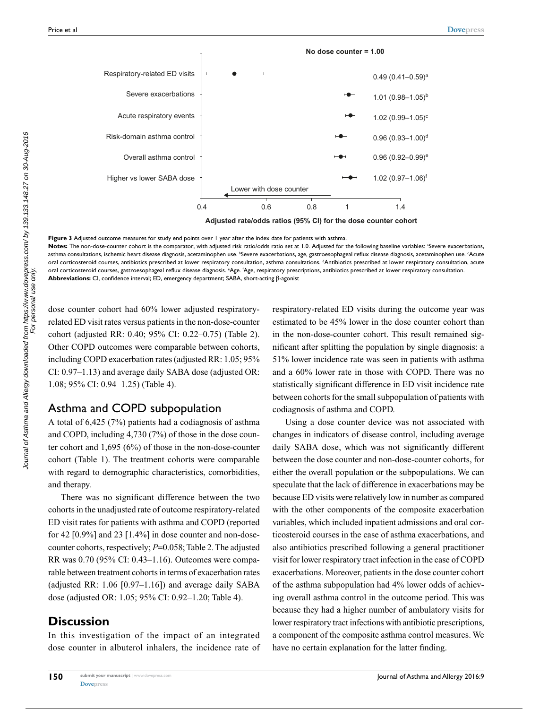

**Adjusted rate/odds ratios (95% Cl) for the dose counter cohort**

**Figure 3** Adjusted outcome measures for study end points over 1 year after the index date for patients with asthma. Notes: The non-dose-counter cohort is the comparator, with adjusted risk ratio/odds ratio set at 1.0. Adjusted for the following baseline variables: <sup>a</sup>Severe exacerbations, asthma consultations, ischemic heart disease diagnosis, acetaminophen use. <sup>b</sup>Severe exacerbations, age, gastroesophageal reflux disease diagnosis, acetaminophen use. ʿAcute oral corticosteroid courses, antibiotics prescribed at lower respiratory consultation, asthma consultations. <sup>4</sup>Antibiotics prescribed at lower respiratory consultation, acute oral corticosteroid courses, gastroesophageal reflux disease diagnosis. °Age. 'Age, respiratory prescriptions, antibiotics prescribed at lower respiratory consultation. **Abbreviations:** CI, confidence interval; ED, emergency department; SABA, short-acting β-agonist

dose counter cohort had 60% lower adjusted respiratoryrelated ED visit rates versus patients in the non-dose-counter cohort (adjusted RR: 0.40; 95% CI: 0.22–0.75) (Table 2). Other COPD outcomes were comparable between cohorts, including COPD exacerbation rates (adjusted RR: 1.05; 95% CI: 0.97–1.13) and average daily SABA dose (adjusted OR: 1.08; 95% CI: 0.94–1.25) (Table 4).

# Asthma and COPD subpopulation

A total of 6,425 (7%) patients had a codiagnosis of asthma and COPD, including 4,730 (7%) of those in the dose counter cohort and 1,695 (6%) of those in the non-dose-counter cohort (Table 1). The treatment cohorts were comparable with regard to demographic characteristics, comorbidities, and therapy.

There was no significant difference between the two cohorts in the unadjusted rate of outcome respiratory-related ED visit rates for patients with asthma and COPD (reported for 42 [0.9%] and 23 [1.4%] in dose counter and non-dosecounter cohorts, respectively; *P*=0.058; Table 2. The adjusted RR was 0.70 (95% CI: 0.43–1.16). Outcomes were comparable between treatment cohorts in terms of exacerbation rates (adjusted RR: 1.06 [0.97–1.16]) and average daily SABA dose (adjusted OR: 1.05; 95% CI: 0.92–1.20; Table 4).

# **Discussion**

In this investigation of the impact of an integrated dose counter in albuterol inhalers, the incidence rate of respiratory-related ED visits during the outcome year was estimated to be 45% lower in the dose counter cohort than in the non-dose-counter cohort. This result remained significant after splitting the population by single diagnosis: a 51% lower incidence rate was seen in patients with asthma and a 60% lower rate in those with COPD. There was no statistically significant difference in ED visit incidence rate between cohorts for the small subpopulation of patients with codiagnosis of asthma and COPD.

Using a dose counter device was not associated with changes in indicators of disease control, including average daily SABA dose, which was not significantly different between the dose counter and non-dose-counter cohorts, for either the overall population or the subpopulations. We can speculate that the lack of difference in exacerbations may be because ED visits were relatively low in number as compared with the other components of the composite exacerbation variables, which included inpatient admissions and oral corticosteroid courses in the case of asthma exacerbations, and also antibiotics prescribed following a general practitioner visit for lower respiratory tract infection in the case of COPD exacerbations. Moreover, patients in the dose counter cohort of the asthma subpopulation had 4% lower odds of achieving overall asthma control in the outcome period. This was because they had a higher number of ambulatory visits for lower respiratory tract infections with antibiotic prescriptions, a component of the composite asthma control measures. We have no certain explanation for the latter finding.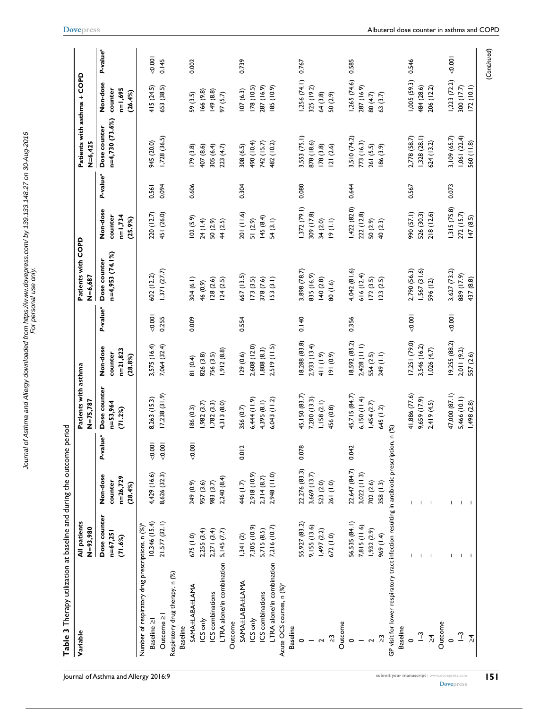| $n=4,730(73.6%)$<br>Dose counter<br>3,553 (75.1)<br>2,778 (58.7)<br>1,328(28.1)<br>3,109 (65.7)<br>1,728 (36.5)<br>3,510 (74.2)<br>$1,061$ $(22.4)$<br>945 (20.0)<br>878 (18.6)<br>560 (11.8)<br>773 (16.3)<br>624 (13.2)<br>490 (10.4)<br>742 (15.7)<br>482 (10.2)<br>308 (6.5)<br>261 (5.5)<br>407 (8.6)<br>305 (6.4)<br>178(3.8)<br>121(2.6)<br>186(3.9)<br>(3.8)<br>223 (4.7)<br>P-value <sup>a</sup><br>0.094<br>0.606<br>0.080<br>0.644<br>0.567<br>0.073<br>0.561<br>0.304<br>1,372(79.1)<br>1,422 (82.0)<br>1,315(75.8)<br>Non-dose<br>990 (57.1)<br>201 (11.6)<br>526 (30.3)<br>272 (15.7)<br>220 (12.7)<br>451 (26.0)<br>222 (12.8)<br>218 (12.6)<br>309 (17.8)<br>counter<br>$n=1,734$<br>147(8.5)<br>145(8.4)<br>102(5.9)<br>(25.9%)<br>51 (2.9)<br>54(3.1)<br>(1.1)<br>24 (1.4)<br>50(2.9)<br>44 (2.5)<br>34 (2.0)<br>50 (2.9)<br>40 (2.3)<br>$n=4,953(74.1%)$<br>Dose counter<br>4,042 (81.6)<br>2,790 (56.3)<br>,567(31.6)<br>$1,371$ $(27.7)$<br>3,898 (78.7)<br>3,627 (73.2)<br>835 (16.9)<br>516(12.4)<br>602 (12.2)<br>889 (17.9)<br>567 (13.5)<br>153(3.1)<br>304 (6.1)<br>128(2.6)<br>124(2.5)<br>173(3.5)<br>378 (7.6)<br>140(2.8)<br>172(3.5)<br>123(2.5)<br>437 (8.8)<br>596 (12)<br>46 (0.9)<br>80 (1.6)<br>P-value <sup>a</sup><br>000000<br>$-0.001$<br>$-0.001$<br>0.255<br>0.009<br>0.140<br>0.356<br>0.554<br>17,251 (79.0)<br>19,255 (88.2)<br>18,288 (83.8)<br>8,592 (85.2)<br>2,428 (11.1)<br>3,546 (16.2)<br>3,575 (16.4)<br>7,064 (32.4)<br>2,933 (13.4)<br>2,608 (12.0)<br>2,519(11.5)<br>Non-dose<br>1,026(4.7)<br>$n = 21,823$<br>,912(8.8)<br>,808(8.3)<br>2,011(9.2)<br>counter<br>(29(0.6)<br>$(6.0)$ $161$<br>249 (I.I)<br>557 (2.6)<br>826 (3.8)<br>756 (3.5)<br>411(1.9)<br>554 (2.5)<br>(28.8%)<br>81 (0.4)<br>Dose counter<br>45,715 (84.7)<br>47,000 (87.1)<br>45,150 (83.7)<br>41,886 (77.6)<br>$17,238$ $(31.9)$<br>6,150 (11.4)<br>9,659 (17.9)<br>5,466 (10.1)<br>8,263 (15.3)<br>7,200(13.3)<br>6,444 (11.9)<br>6,043(11.2)<br>$n = 53,964$<br>4,395 (8.1)<br>1,158(2.1)<br>1,454(2.7)<br>1,498 (2.8)<br>(782(3.3))<br>4,313 (8.0)<br>$,982$ $(3.7)$<br>2,419 (4.5)<br>356 (0.7)<br>186 (0.3)<br>456 (0.8)<br>645 (1.2)<br>(71.2%)<br>GP visit for lower respiratory tract infection resulting in antibiotic prescription, n (%)<br>P-value <sup>a</sup><br>0.001<br>00.001<br>0.001<br>0.078<br>0.012<br>0.047<br>22,647 (84.7)<br>22,276 (83.3)<br>$3,022$ ( $11.3$ )<br>4,429 (16.6)<br>8,626 (32.3)<br>2,948 (11.0)<br>3,669 (13.7)<br>2,918 (10.9)<br>Non-dose<br>2,240 (8.4)<br>n=26,729<br>2,314(8.7)<br>counter<br>446 (1.7)<br>261 (1.0)<br>983 (3.7)<br>523 (2.0)<br>249 (0.9)<br>957 (3.6)<br>702 (2.6)<br>358 (1.3)<br>(28.4%)<br>J.<br>$\mathbf{I}$<br>Dose counter<br>21,577 (32.1)<br>56,535 (84.1)<br>10,346(15.4)<br>55,927 (83.2)<br>Number of respiratory drug prescriptions, n (%) <sup>b</sup><br>7,815 (11.6)<br>9,155 (13.6)<br>7,305 (10.9)<br>7,216 (10.7)<br>5,145(7.7)<br>5,715(8.5)<br>1,932(2.9)<br>2,255(3.4)<br>2,271(3.4)<br>1,497(2.2)<br>$n = 67,251$<br>1,341(2)<br>672 (1.0)<br>969 (1.4)<br>675 (1.0)<br>(71.6%)<br>L<br>$\mathbf{I}$<br>LTRA alone/in combination<br>LTRA alone/in combination<br>Respiratory drug therapy, n (%)<br>SAMA±LABA±LAMA<br>Acute OCS courses, n (%) <sup>c</sup><br>SAMA±LABA±LAMA<br>ICS combinations<br>ICS combinations<br>Outcome ≥i<br>ICS only<br>ICS only<br>Baseline 2<br>Outcome<br>Outcome<br>Outcome<br><b>Baseline</b><br><b>Baseline</b><br><b>Baseline</b><br>$\mathbf{r}$<br>$\overline{-3}$<br>$\lambda$<br>$\stackrel{\sim}{\sim}$<br>$\approx$<br>$\circ$<br>$\circ$<br>$\circ$<br>$\circ$<br>$\sim$<br>$\overline{\mathbf{c}}$ | Variable  | All patients<br>N=93,980 |  | Patients with asthma<br>N=75,787 |  | Patients with COPD<br>$N=6,687$ |  | Patients with asthma + COPD<br>$N = 6,425$ |                                             |                      |
|-------------------------------------------------------------------------------------------------------------------------------------------------------------------------------------------------------------------------------------------------------------------------------------------------------------------------------------------------------------------------------------------------------------------------------------------------------------------------------------------------------------------------------------------------------------------------------------------------------------------------------------------------------------------------------------------------------------------------------------------------------------------------------------------------------------------------------------------------------------------------------------------------------------------------------------------------------------------------------------------------------------------------------------------------------------------------------------------------------------------------------------------------------------------------------------------------------------------------------------------------------------------------------------------------------------------------------------------------------------------------------------------------------------------------------------------------------------------------------------------------------------------------------------------------------------------------------------------------------------------------------------------------------------------------------------------------------------------------------------------------------------------------------------------------------------------------------------------------------------------------------------------------------------------------------------------------------------------------------------------------------------------------------------------------------------------------------------------------------------------------------------------------------------------------------------------------------------------------------------------------------------------------------------------------------------------------------------------------------------------------------------------------------------------------------------------------------------------------------------------------------------------------------------------------------------------------------------------------------------------------------------------------------------------------------------------------------------------------------------------------------------------------------------------------------------------------------------------------------------------------------------------------------------------------------------------------------------------------------------------------------------------------------------------------------------------------------------------------------------------------------------------------------------------------------------------------------------------------------------------------------------------------------------------------------------------------------------------------------------------------------------------------------------------------------------------------------------------------------------------------------------------------------------------------------------------------------------------------------------------------------------------------------------------------|-----------|--------------------------|--|----------------------------------|--|---------------------------------|--|--------------------------------------------|---------------------------------------------|----------------------|
|                                                                                                                                                                                                                                                                                                                                                                                                                                                                                                                                                                                                                                                                                                                                                                                                                                                                                                                                                                                                                                                                                                                                                                                                                                                                                                                                                                                                                                                                                                                                                                                                                                                                                                                                                                                                                                                                                                                                                                                                                                                                                                                                                                                                                                                                                                                                                                                                                                                                                                                                                                                                                                                                                                                                                                                                                                                                                                                                                                                                                                                                                                                                                                                                                                                                                                                                                                                                                                                                                                                                                                                                                                                                         |           |                          |  |                                  |  |                                 |  |                                            | Non-dose<br>$n=1,695$<br>counter<br>(26.4%) | P-value <sup>a</sup> |
|                                                                                                                                                                                                                                                                                                                                                                                                                                                                                                                                                                                                                                                                                                                                                                                                                                                                                                                                                                                                                                                                                                                                                                                                                                                                                                                                                                                                                                                                                                                                                                                                                                                                                                                                                                                                                                                                                                                                                                                                                                                                                                                                                                                                                                                                                                                                                                                                                                                                                                                                                                                                                                                                                                                                                                                                                                                                                                                                                                                                                                                                                                                                                                                                                                                                                                                                                                                                                                                                                                                                                                                                                                                                         |           |                          |  |                                  |  |                                 |  |                                            | 415(24.5)                                   | $-0.001$             |
|                                                                                                                                                                                                                                                                                                                                                                                                                                                                                                                                                                                                                                                                                                                                                                                                                                                                                                                                                                                                                                                                                                                                                                                                                                                                                                                                                                                                                                                                                                                                                                                                                                                                                                                                                                                                                                                                                                                                                                                                                                                                                                                                                                                                                                                                                                                                                                                                                                                                                                                                                                                                                                                                                                                                                                                                                                                                                                                                                                                                                                                                                                                                                                                                                                                                                                                                                                                                                                                                                                                                                                                                                                                                         |           |                          |  |                                  |  |                                 |  |                                            | 653 (38.5)                                  | 0.145                |
|                                                                                                                                                                                                                                                                                                                                                                                                                                                                                                                                                                                                                                                                                                                                                                                                                                                                                                                                                                                                                                                                                                                                                                                                                                                                                                                                                                                                                                                                                                                                                                                                                                                                                                                                                                                                                                                                                                                                                                                                                                                                                                                                                                                                                                                                                                                                                                                                                                                                                                                                                                                                                                                                                                                                                                                                                                                                                                                                                                                                                                                                                                                                                                                                                                                                                                                                                                                                                                                                                                                                                                                                                                                                         |           |                          |  |                                  |  |                                 |  |                                            |                                             |                      |
|                                                                                                                                                                                                                                                                                                                                                                                                                                                                                                                                                                                                                                                                                                                                                                                                                                                                                                                                                                                                                                                                                                                                                                                                                                                                                                                                                                                                                                                                                                                                                                                                                                                                                                                                                                                                                                                                                                                                                                                                                                                                                                                                                                                                                                                                                                                                                                                                                                                                                                                                                                                                                                                                                                                                                                                                                                                                                                                                                                                                                                                                                                                                                                                                                                                                                                                                                                                                                                                                                                                                                                                                                                                                         |           |                          |  |                                  |  |                                 |  |                                            |                                             |                      |
|                                                                                                                                                                                                                                                                                                                                                                                                                                                                                                                                                                                                                                                                                                                                                                                                                                                                                                                                                                                                                                                                                                                                                                                                                                                                                                                                                                                                                                                                                                                                                                                                                                                                                                                                                                                                                                                                                                                                                                                                                                                                                                                                                                                                                                                                                                                                                                                                                                                                                                                                                                                                                                                                                                                                                                                                                                                                                                                                                                                                                                                                                                                                                                                                                                                                                                                                                                                                                                                                                                                                                                                                                                                                         |           |                          |  |                                  |  |                                 |  |                                            | 59 (3.5)                                    | 0.002                |
|                                                                                                                                                                                                                                                                                                                                                                                                                                                                                                                                                                                                                                                                                                                                                                                                                                                                                                                                                                                                                                                                                                                                                                                                                                                                                                                                                                                                                                                                                                                                                                                                                                                                                                                                                                                                                                                                                                                                                                                                                                                                                                                                                                                                                                                                                                                                                                                                                                                                                                                                                                                                                                                                                                                                                                                                                                                                                                                                                                                                                                                                                                                                                                                                                                                                                                                                                                                                                                                                                                                                                                                                                                                                         |           |                          |  |                                  |  |                                 |  |                                            | 166(9.8)                                    |                      |
|                                                                                                                                                                                                                                                                                                                                                                                                                                                                                                                                                                                                                                                                                                                                                                                                                                                                                                                                                                                                                                                                                                                                                                                                                                                                                                                                                                                                                                                                                                                                                                                                                                                                                                                                                                                                                                                                                                                                                                                                                                                                                                                                                                                                                                                                                                                                                                                                                                                                                                                                                                                                                                                                                                                                                                                                                                                                                                                                                                                                                                                                                                                                                                                                                                                                                                                                                                                                                                                                                                                                                                                                                                                                         |           |                          |  |                                  |  |                                 |  |                                            | 149(8.8)                                    |                      |
|                                                                                                                                                                                                                                                                                                                                                                                                                                                                                                                                                                                                                                                                                                                                                                                                                                                                                                                                                                                                                                                                                                                                                                                                                                                                                                                                                                                                                                                                                                                                                                                                                                                                                                                                                                                                                                                                                                                                                                                                                                                                                                                                                                                                                                                                                                                                                                                                                                                                                                                                                                                                                                                                                                                                                                                                                                                                                                                                                                                                                                                                                                                                                                                                                                                                                                                                                                                                                                                                                                                                                                                                                                                                         |           |                          |  |                                  |  |                                 |  |                                            | 97 (5.7)                                    |                      |
|                                                                                                                                                                                                                                                                                                                                                                                                                                                                                                                                                                                                                                                                                                                                                                                                                                                                                                                                                                                                                                                                                                                                                                                                                                                                                                                                                                                                                                                                                                                                                                                                                                                                                                                                                                                                                                                                                                                                                                                                                                                                                                                                                                                                                                                                                                                                                                                                                                                                                                                                                                                                                                                                                                                                                                                                                                                                                                                                                                                                                                                                                                                                                                                                                                                                                                                                                                                                                                                                                                                                                                                                                                                                         |           |                          |  |                                  |  |                                 |  |                                            |                                             |                      |
|                                                                                                                                                                                                                                                                                                                                                                                                                                                                                                                                                                                                                                                                                                                                                                                                                                                                                                                                                                                                                                                                                                                                                                                                                                                                                                                                                                                                                                                                                                                                                                                                                                                                                                                                                                                                                                                                                                                                                                                                                                                                                                                                                                                                                                                                                                                                                                                                                                                                                                                                                                                                                                                                                                                                                                                                                                                                                                                                                                                                                                                                                                                                                                                                                                                                                                                                                                                                                                                                                                                                                                                                                                                                         |           |                          |  |                                  |  |                                 |  |                                            | 107(6.3)                                    | 0.739                |
|                                                                                                                                                                                                                                                                                                                                                                                                                                                                                                                                                                                                                                                                                                                                                                                                                                                                                                                                                                                                                                                                                                                                                                                                                                                                                                                                                                                                                                                                                                                                                                                                                                                                                                                                                                                                                                                                                                                                                                                                                                                                                                                                                                                                                                                                                                                                                                                                                                                                                                                                                                                                                                                                                                                                                                                                                                                                                                                                                                                                                                                                                                                                                                                                                                                                                                                                                                                                                                                                                                                                                                                                                                                                         |           |                          |  |                                  |  |                                 |  |                                            | 178(10.5)                                   |                      |
|                                                                                                                                                                                                                                                                                                                                                                                                                                                                                                                                                                                                                                                                                                                                                                                                                                                                                                                                                                                                                                                                                                                                                                                                                                                                                                                                                                                                                                                                                                                                                                                                                                                                                                                                                                                                                                                                                                                                                                                                                                                                                                                                                                                                                                                                                                                                                                                                                                                                                                                                                                                                                                                                                                                                                                                                                                                                                                                                                                                                                                                                                                                                                                                                                                                                                                                                                                                                                                                                                                                                                                                                                                                                         |           |                          |  |                                  |  |                                 |  |                                            | 287 (16.9)                                  |                      |
|                                                                                                                                                                                                                                                                                                                                                                                                                                                                                                                                                                                                                                                                                                                                                                                                                                                                                                                                                                                                                                                                                                                                                                                                                                                                                                                                                                                                                                                                                                                                                                                                                                                                                                                                                                                                                                                                                                                                                                                                                                                                                                                                                                                                                                                                                                                                                                                                                                                                                                                                                                                                                                                                                                                                                                                                                                                                                                                                                                                                                                                                                                                                                                                                                                                                                                                                                                                                                                                                                                                                                                                                                                                                         |           |                          |  |                                  |  |                                 |  |                                            | 185 (10.9)                                  |                      |
|                                                                                                                                                                                                                                                                                                                                                                                                                                                                                                                                                                                                                                                                                                                                                                                                                                                                                                                                                                                                                                                                                                                                                                                                                                                                                                                                                                                                                                                                                                                                                                                                                                                                                                                                                                                                                                                                                                                                                                                                                                                                                                                                                                                                                                                                                                                                                                                                                                                                                                                                                                                                                                                                                                                                                                                                                                                                                                                                                                                                                                                                                                                                                                                                                                                                                                                                                                                                                                                                                                                                                                                                                                                                         |           |                          |  |                                  |  |                                 |  |                                            |                                             |                      |
|                                                                                                                                                                                                                                                                                                                                                                                                                                                                                                                                                                                                                                                                                                                                                                                                                                                                                                                                                                                                                                                                                                                                                                                                                                                                                                                                                                                                                                                                                                                                                                                                                                                                                                                                                                                                                                                                                                                                                                                                                                                                                                                                                                                                                                                                                                                                                                                                                                                                                                                                                                                                                                                                                                                                                                                                                                                                                                                                                                                                                                                                                                                                                                                                                                                                                                                                                                                                                                                                                                                                                                                                                                                                         |           |                          |  |                                  |  |                                 |  |                                            |                                             |                      |
|                                                                                                                                                                                                                                                                                                                                                                                                                                                                                                                                                                                                                                                                                                                                                                                                                                                                                                                                                                                                                                                                                                                                                                                                                                                                                                                                                                                                                                                                                                                                                                                                                                                                                                                                                                                                                                                                                                                                                                                                                                                                                                                                                                                                                                                                                                                                                                                                                                                                                                                                                                                                                                                                                                                                                                                                                                                                                                                                                                                                                                                                                                                                                                                                                                                                                                                                                                                                                                                                                                                                                                                                                                                                         |           |                          |  |                                  |  |                                 |  |                                            | 1,256(74.1)                                 | 0.767                |
|                                                                                                                                                                                                                                                                                                                                                                                                                                                                                                                                                                                                                                                                                                                                                                                                                                                                                                                                                                                                                                                                                                                                                                                                                                                                                                                                                                                                                                                                                                                                                                                                                                                                                                                                                                                                                                                                                                                                                                                                                                                                                                                                                                                                                                                                                                                                                                                                                                                                                                                                                                                                                                                                                                                                                                                                                                                                                                                                                                                                                                                                                                                                                                                                                                                                                                                                                                                                                                                                                                                                                                                                                                                                         |           |                          |  |                                  |  |                                 |  |                                            | 325 (19.2)                                  |                      |
|                                                                                                                                                                                                                                                                                                                                                                                                                                                                                                                                                                                                                                                                                                                                                                                                                                                                                                                                                                                                                                                                                                                                                                                                                                                                                                                                                                                                                                                                                                                                                                                                                                                                                                                                                                                                                                                                                                                                                                                                                                                                                                                                                                                                                                                                                                                                                                                                                                                                                                                                                                                                                                                                                                                                                                                                                                                                                                                                                                                                                                                                                                                                                                                                                                                                                                                                                                                                                                                                                                                                                                                                                                                                         |           |                          |  |                                  |  |                                 |  |                                            | 64 (3.8)                                    |                      |
|                                                                                                                                                                                                                                                                                                                                                                                                                                                                                                                                                                                                                                                                                                                                                                                                                                                                                                                                                                                                                                                                                                                                                                                                                                                                                                                                                                                                                                                                                                                                                                                                                                                                                                                                                                                                                                                                                                                                                                                                                                                                                                                                                                                                                                                                                                                                                                                                                                                                                                                                                                                                                                                                                                                                                                                                                                                                                                                                                                                                                                                                                                                                                                                                                                                                                                                                                                                                                                                                                                                                                                                                                                                                         |           |                          |  |                                  |  |                                 |  |                                            | 50 (2.9)                                    |                      |
|                                                                                                                                                                                                                                                                                                                                                                                                                                                                                                                                                                                                                                                                                                                                                                                                                                                                                                                                                                                                                                                                                                                                                                                                                                                                                                                                                                                                                                                                                                                                                                                                                                                                                                                                                                                                                                                                                                                                                                                                                                                                                                                                                                                                                                                                                                                                                                                                                                                                                                                                                                                                                                                                                                                                                                                                                                                                                                                                                                                                                                                                                                                                                                                                                                                                                                                                                                                                                                                                                                                                                                                                                                                                         |           |                          |  |                                  |  |                                 |  |                                            |                                             |                      |
|                                                                                                                                                                                                                                                                                                                                                                                                                                                                                                                                                                                                                                                                                                                                                                                                                                                                                                                                                                                                                                                                                                                                                                                                                                                                                                                                                                                                                                                                                                                                                                                                                                                                                                                                                                                                                                                                                                                                                                                                                                                                                                                                                                                                                                                                                                                                                                                                                                                                                                                                                                                                                                                                                                                                                                                                                                                                                                                                                                                                                                                                                                                                                                                                                                                                                                                                                                                                                                                                                                                                                                                                                                                                         |           |                          |  |                                  |  |                                 |  |                                            | 1,265 (74.6)                                | 0.585                |
|                                                                                                                                                                                                                                                                                                                                                                                                                                                                                                                                                                                                                                                                                                                                                                                                                                                                                                                                                                                                                                                                                                                                                                                                                                                                                                                                                                                                                                                                                                                                                                                                                                                                                                                                                                                                                                                                                                                                                                                                                                                                                                                                                                                                                                                                                                                                                                                                                                                                                                                                                                                                                                                                                                                                                                                                                                                                                                                                                                                                                                                                                                                                                                                                                                                                                                                                                                                                                                                                                                                                                                                                                                                                         |           |                          |  |                                  |  |                                 |  |                                            | 287 (16.9)                                  |                      |
|                                                                                                                                                                                                                                                                                                                                                                                                                                                                                                                                                                                                                                                                                                                                                                                                                                                                                                                                                                                                                                                                                                                                                                                                                                                                                                                                                                                                                                                                                                                                                                                                                                                                                                                                                                                                                                                                                                                                                                                                                                                                                                                                                                                                                                                                                                                                                                                                                                                                                                                                                                                                                                                                                                                                                                                                                                                                                                                                                                                                                                                                                                                                                                                                                                                                                                                                                                                                                                                                                                                                                                                                                                                                         |           |                          |  |                                  |  |                                 |  |                                            | 80 (4.7)                                    |                      |
|                                                                                                                                                                                                                                                                                                                                                                                                                                                                                                                                                                                                                                                                                                                                                                                                                                                                                                                                                                                                                                                                                                                                                                                                                                                                                                                                                                                                                                                                                                                                                                                                                                                                                                                                                                                                                                                                                                                                                                                                                                                                                                                                                                                                                                                                                                                                                                                                                                                                                                                                                                                                                                                                                                                                                                                                                                                                                                                                                                                                                                                                                                                                                                                                                                                                                                                                                                                                                                                                                                                                                                                                                                                                         |           |                          |  |                                  |  |                                 |  |                                            | 63 (3.7)                                    |                      |
|                                                                                                                                                                                                                                                                                                                                                                                                                                                                                                                                                                                                                                                                                                                                                                                                                                                                                                                                                                                                                                                                                                                                                                                                                                                                                                                                                                                                                                                                                                                                                                                                                                                                                                                                                                                                                                                                                                                                                                                                                                                                                                                                                                                                                                                                                                                                                                                                                                                                                                                                                                                                                                                                                                                                                                                                                                                                                                                                                                                                                                                                                                                                                                                                                                                                                                                                                                                                                                                                                                                                                                                                                                                                         |           |                          |  |                                  |  |                                 |  |                                            |                                             |                      |
|                                                                                                                                                                                                                                                                                                                                                                                                                                                                                                                                                                                                                                                                                                                                                                                                                                                                                                                                                                                                                                                                                                                                                                                                                                                                                                                                                                                                                                                                                                                                                                                                                                                                                                                                                                                                                                                                                                                                                                                                                                                                                                                                                                                                                                                                                                                                                                                                                                                                                                                                                                                                                                                                                                                                                                                                                                                                                                                                                                                                                                                                                                                                                                                                                                                                                                                                                                                                                                                                                                                                                                                                                                                                         |           |                          |  |                                  |  |                                 |  |                                            |                                             |                      |
|                                                                                                                                                                                                                                                                                                                                                                                                                                                                                                                                                                                                                                                                                                                                                                                                                                                                                                                                                                                                                                                                                                                                                                                                                                                                                                                                                                                                                                                                                                                                                                                                                                                                                                                                                                                                                                                                                                                                                                                                                                                                                                                                                                                                                                                                                                                                                                                                                                                                                                                                                                                                                                                                                                                                                                                                                                                                                                                                                                                                                                                                                                                                                                                                                                                                                                                                                                                                                                                                                                                                                                                                                                                                         |           |                          |  |                                  |  |                                 |  |                                            | 1,005(59.3)                                 | 0.546                |
|                                                                                                                                                                                                                                                                                                                                                                                                                                                                                                                                                                                                                                                                                                                                                                                                                                                                                                                                                                                                                                                                                                                                                                                                                                                                                                                                                                                                                                                                                                                                                                                                                                                                                                                                                                                                                                                                                                                                                                                                                                                                                                                                                                                                                                                                                                                                                                                                                                                                                                                                                                                                                                                                                                                                                                                                                                                                                                                                                                                                                                                                                                                                                                                                                                                                                                                                                                                                                                                                                                                                                                                                                                                                         |           |                          |  |                                  |  |                                 |  |                                            | 484 (28.6)                                  |                      |
|                                                                                                                                                                                                                                                                                                                                                                                                                                                                                                                                                                                                                                                                                                                                                                                                                                                                                                                                                                                                                                                                                                                                                                                                                                                                                                                                                                                                                                                                                                                                                                                                                                                                                                                                                                                                                                                                                                                                                                                                                                                                                                                                                                                                                                                                                                                                                                                                                                                                                                                                                                                                                                                                                                                                                                                                                                                                                                                                                                                                                                                                                                                                                                                                                                                                                                                                                                                                                                                                                                                                                                                                                                                                         |           |                          |  |                                  |  |                                 |  |                                            | 206 (12.2)                                  |                      |
|                                                                                                                                                                                                                                                                                                                                                                                                                                                                                                                                                                                                                                                                                                                                                                                                                                                                                                                                                                                                                                                                                                                                                                                                                                                                                                                                                                                                                                                                                                                                                                                                                                                                                                                                                                                                                                                                                                                                                                                                                                                                                                                                                                                                                                                                                                                                                                                                                                                                                                                                                                                                                                                                                                                                                                                                                                                                                                                                                                                                                                                                                                                                                                                                                                                                                                                                                                                                                                                                                                                                                                                                                                                                         |           |                          |  |                                  |  |                                 |  |                                            |                                             |                      |
|                                                                                                                                                                                                                                                                                                                                                                                                                                                                                                                                                                                                                                                                                                                                                                                                                                                                                                                                                                                                                                                                                                                                                                                                                                                                                                                                                                                                                                                                                                                                                                                                                                                                                                                                                                                                                                                                                                                                                                                                                                                                                                                                                                                                                                                                                                                                                                                                                                                                                                                                                                                                                                                                                                                                                                                                                                                                                                                                                                                                                                                                                                                                                                                                                                                                                                                                                                                                                                                                                                                                                                                                                                                                         |           |                          |  |                                  |  |                                 |  |                                            | 1,223 (72.2)                                | $-0.001$             |
|                                                                                                                                                                                                                                                                                                                                                                                                                                                                                                                                                                                                                                                                                                                                                                                                                                                                                                                                                                                                                                                                                                                                                                                                                                                                                                                                                                                                                                                                                                                                                                                                                                                                                                                                                                                                                                                                                                                                                                                                                                                                                                                                                                                                                                                                                                                                                                                                                                                                                                                                                                                                                                                                                                                                                                                                                                                                                                                                                                                                                                                                                                                                                                                                                                                                                                                                                                                                                                                                                                                                                                                                                                                                         |           |                          |  |                                  |  |                                 |  |                                            | 300 (17.7)                                  |                      |
|                                                                                                                                                                                                                                                                                                                                                                                                                                                                                                                                                                                                                                                                                                                                                                                                                                                                                                                                                                                                                                                                                                                                                                                                                                                                                                                                                                                                                                                                                                                                                                                                                                                                                                                                                                                                                                                                                                                                                                                                                                                                                                                                                                                                                                                                                                                                                                                                                                                                                                                                                                                                                                                                                                                                                                                                                                                                                                                                                                                                                                                                                                                                                                                                                                                                                                                                                                                                                                                                                                                                                                                                                                                                         | $\lambda$ |                          |  |                                  |  |                                 |  |                                            | 172(10.1)                                   |                      |

**Journal of Asthma and Allergy 2016:9 submit your manuscript**  $|$ <www.dovepress.com>

Journal of Asthma and Allergy downloaded from https://www.dovepress.com/ by 139.133.148.27 on 30-Aug-2016<br>For personal use only. Journal of Asthma and Allergy downloaded from https://www.dovepress.com/ by 139.133.148.27 on 30-Aug-2016 For personal use only.

## **151**

**[Dovepress](www.dovepress.com)**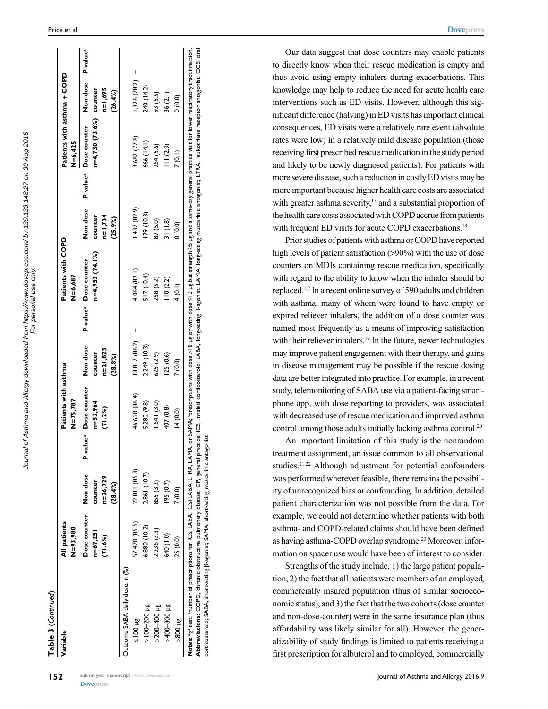| Table 3 (Continued)<br>Variable                                                                                                                                                                                                                                                                                                                                                                                    | All patients                          |                                                |                      | Patients with asthma                |                                              |                      | Patients with COPD                                                                                                                                           |                                             |                      | Patients with asthma + COPD             |                                |                      |
|--------------------------------------------------------------------------------------------------------------------------------------------------------------------------------------------------------------------------------------------------------------------------------------------------------------------------------------------------------------------------------------------------------------------|---------------------------------------|------------------------------------------------|----------------------|-------------------------------------|----------------------------------------------|----------------------|--------------------------------------------------------------------------------------------------------------------------------------------------------------|---------------------------------------------|----------------------|-----------------------------------------|--------------------------------|----------------------|
|                                                                                                                                                                                                                                                                                                                                                                                                                    | N=93,980                              |                                                |                      | N=75,787                            |                                              |                      | N=6,687                                                                                                                                                      |                                             |                      | $N = 6,425$                             |                                |                      |
|                                                                                                                                                                                                                                                                                                                                                                                                                    | Dose counter<br>$n=67,251$<br>(71.6%) | Non-dose<br>$n = 26,729$<br>counter<br>(28.4%) | P-value <sup>a</sup> | Dose counter<br>n=53,964<br>(71.2%) | Non-dose<br>$n=21,823$<br>counter<br>(28.8%) | P-value <sup>a</sup> | $n=4,953(74.1%)$<br>Dose counter                                                                                                                             | Non-dose<br>counter<br>$n=1,734$<br>(25.9%) | P-value <sup>a</sup> | n=4,730 (73.6%) counter<br>Dose counter | Non-dose<br>n=1,695<br>(26.4%) | P-value <sup>a</sup> |
| Outcome SABA daily dose, n (%)                                                                                                                                                                                                                                                                                                                                                                                     |                                       |                                                |                      |                                     |                                              |                      |                                                                                                                                                              |                                             |                      |                                         |                                |                      |
| $\frac{3n}{100}$ Hg                                                                                                                                                                                                                                                                                                                                                                                                | 57,470 (85.5)                         | 22,811 (85.3)                                  |                      | 46,620 (86.4)                       | 8,817 (86.2)                                 |                      | 4,064 (82.1)                                                                                                                                                 | (437 (82.9)                                 |                      | 3,682 (77.8)                            | I<br>1,326 (78.2)              |                      |
| $>100 - 200$ $\mu$ g                                                                                                                                                                                                                                                                                                                                                                                               | 6,880 (10.2)                          | 2,861 (10.7)                                   |                      | 5,282 (9.8)                         | 2,249 (10.3)                                 |                      | (17(10.4)                                                                                                                                                    | 179(10.3)                                   |                      | 666 (14.1)                              | 240 (14.2)                     |                      |
| $>200 - 400$ µg                                                                                                                                                                                                                                                                                                                                                                                                    | 2,236 (3.3)                           | 855 (3.2)                                      |                      | 1,641(3.0)                          | 625 (2.9)                                    |                      | 258 (5.2)                                                                                                                                                    | 87 (5.0)                                    |                      | 264 (5.6)                               | 93 (5.5)                       |                      |
| $3n00-800+8$                                                                                                                                                                                                                                                                                                                                                                                                       | 640 (1.0)                             | $(0.7)$ 59                                     |                      | 407 (0.8)                           | 125(0.6)                                     |                      | 110(2.2)                                                                                                                                                     | 31(1.8)                                     |                      | 11(2.3)                                 | 36 (2.1)                       |                      |
| $\frac{31008}{5}$                                                                                                                                                                                                                                                                                                                                                                                                  | 25 (0.0)                              | 7(0.0)                                         |                      | 14(0.0)                             | 7(0.0)                                       |                      | 4(0.1)                                                                                                                                                       | (0.0)                                       |                      | 7(0.1)                                  | (0.0)0                         |                      |
| Abbreviations: COPD, chronic obstructive pulmonary disease; GP, general practice; ICS, inhaled corticosteroid; LABA, long-acting p-agonist; LAMA, long-acting muscarinic antagonist; LTRA, leukotriene receptor antagonist; OC<br>corticosteroid; SABA, short-acting $\beta$ -agonist; SAMA, short-acting muscarinic antagonist.<br>Notes: "y2 test; "number of prescriptions for ICS, LABA, ICS+LABA, LTRA, LAMA, |                                       |                                                |                      |                                     |                                              |                      | or SAMA: 'prescriptions with dose >10 µg or with dose S10 µg but strength ≥5 µg and a same-day general practice visit for lower respiratory tract infection. |                                             |                      |                                         |                                |                      |

Our data suggest that dose counters may enable patients to directly know when their rescue medication is empty and thus avoid using empty inhalers during exacerbations. This knowledge may help to reduce the need for acute health care interventions such as ED visits. However, although this significant difference (halving) in ED visits has important clinical consequences, ED visits were a relatively rare event (absolute rates were low) in a relatively mild disease population (those receiving first prescribed rescue medication in the study period and likely to be newly diagnosed patients). For patients with more severe disease, such a reduction in costly ED visits may be more important because higher health care costs are associated with greater asthma severity,<sup>17</sup> and a substantial proportion of the health care costs associated with COPD accrue from patients with frequent ED visits for acute COPD exacerbations.<sup>18</sup>

**[Dovepress](www.dovepress.com)**

Prior studies of patients with asthma or COPD have reported high levels of patient satisfaction (>90%) with the use of dose counters on MDIs containing rescue medication, specifically with regard to the ability to know when the inhaler should be replaced.1,2 In a recent online survey of 590 adults and children with asthma, many of whom were found to have empty or expired reliever inhalers, the addition of a dose counter was named most frequently as a means of improving satisfaction with their reliever inhalers.<sup>19</sup> In the future, newer technologies may improve patient engagement with their therapy, and gains in disease management may be possible if the rescue dosing data are better integrated into practice. For example, in a recent study, telemonitoring of SABA use via a patient-facing smartphone app, with dose reporting to providers, was associated with decreased use of rescue medication and improved asthma control among those adults initially lacking asthma control.<sup>20</sup>

An important limitation of this study is the nonrandom treatment assignment, an issue common to all observational studies.<sup>21,22</sup> Although adjustment for potential confounders was performed wherever feasible, there remains the possibility of unrecognized bias or confounding. In addition, detailed patient characterization was not possible from the data. For example, we could not determine whether patients with both asthma- and COPD-related claims should have been defined as having asthma-COPD overlap syndrome.23 Moreover, information on spacer use would have been of interest to consider.

Strengths of the study include, 1) the large patient population, 2) the fact that all patients were members of an employed, commercially insured population (thus of similar socioeconomic status), and 3) the fact that the two cohorts (dose counter and non-dose-counter) were in the same insurance plan (thus affordability was likely similar for all). However, the generalizability of study findings is limited to patients receiving a first prescription for albuterol and to employed, commercially

Journal of Asthma and Allergy downloaded from https://www.dovepress.com/ by 139.133.148.27 on 30-Aug-2016<br>For personal use only. Journal of Asthma and Allergy downloaded from https://www.dovepress.com/ by 139.133.148.27 on 30-Aug-2016 For personal use only.

**[Dovepress](www.dovepress.com)**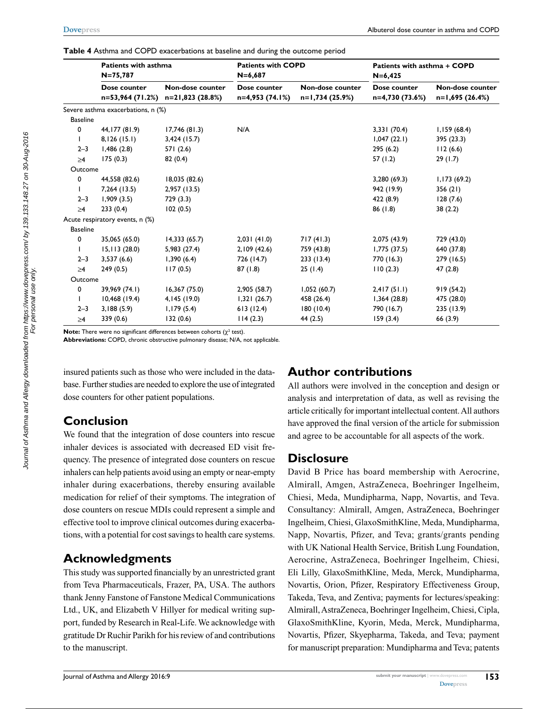**Table 4** Asthma and COPD exacerbations at baseline and during the outcome period

|                 | <b>Patients with asthma</b><br>$N = 75,787$ |                                       | <b>Patients with COPD</b><br>$N = 6,687$ |                                     | Patients with asthma + COPD<br>$N = 6,425$ |                                     |
|-----------------|---------------------------------------------|---------------------------------------|------------------------------------------|-------------------------------------|--------------------------------------------|-------------------------------------|
|                 | Dose counter<br>n=53,964 (71.2%)            | Non-dose counter<br>$n=21,823(28.8%)$ | Dose counter<br>n=4,953 (74.1%)          | Non-dose counter<br>n=1,734 (25.9%) | Dose counter<br>n=4,730 (73.6%)            | Non-dose counter<br>n=1,695 (26.4%) |
|                 | Severe asthma exacerbations, n (%)          |                                       |                                          |                                     |                                            |                                     |
| <b>Baseline</b> |                                             |                                       |                                          |                                     |                                            |                                     |
| 0               | 44, 177 (81.9)                              | 17,746 (81.3)                         | N/A                                      |                                     | 3,331 (70.4)                               | 1,159(68.4)                         |
|                 | 8,126(15.1)                                 | $3,424$ (15.7)                        |                                          |                                     | 1,047(22.1)                                | 395 (23.3)                          |
| $2 - 3$         | 1,486(2.8)                                  | 571(2.6)                              |                                          |                                     | 295(6.2)                                   | 112(6.6)                            |
| $\geq 4$        | 175(0.3)                                    | 82(0.4)                               |                                          |                                     | 57 (1.2)                                   | 29(1.7)                             |
| Outcome         |                                             |                                       |                                          |                                     |                                            |                                     |
| 0               | 44,558 (82.6)                               | 18,035 (82.6)                         |                                          |                                     | 3,280 (69.3)                               | 1,173(69.2)                         |
|                 | 7,264 (13.5)                                | 2,957(13.5)                           |                                          |                                     | 942 (19.9)                                 | 356(21)                             |
| $2 - 3$         | 1,909(3.5)                                  | 729(3.3)                              |                                          |                                     | 422 (8.9)                                  | 128(7.6)                            |
| $\geq 4$        | 233(0.4)                                    | 102(0.5)                              |                                          |                                     | 86(1.8)                                    | 38(2.2)                             |
|                 | Acute respiratory events, n (%)             |                                       |                                          |                                     |                                            |                                     |
| <b>Baseline</b> |                                             |                                       |                                          |                                     |                                            |                                     |
| 0               | 35,065 (65.0)                               | 14,333(65.7)                          | 2,031(41.0)                              | 717(41.3)                           | 2,075 (43.9)                               | 729 (43.0)                          |
|                 | 15,113(28.0)                                | 5,983 (27.4)                          | 2,109(42.6)                              | 759 (43.8)                          | 1,775(37.5)                                | 640 (37.8)                          |
| $2 - 3$         | 3,537(6.6)                                  | 1,390(6.4)                            | 726 (14.7)                               | 233 (13.4)                          | 770 (16.3)                                 | 279 (16.5)                          |
| $\geq 4$        | 249(0.5)                                    | 117(0.5)                              | 87(1.8)                                  | 25(1.4)                             | 110(2.3)                                   | 47(2.8)                             |
| Outcome         |                                             |                                       |                                          |                                     |                                            |                                     |
| 0               | 39,969 (74.1)                               | 16,367 (75.0)                         | 2,905 (58.7)                             | 1,052(60.7)                         | 2,417(51.1)                                | 919(54.2)                           |
|                 | 10,468(19.4)                                | 4, 145 (19.0)                         | 1,321(26.7)                              | 458 (26.4)                          | 1,364(28.8)                                | 475 (28.0)                          |
| $2 - 3$         | 3,188(5.9)                                  | 1,179(5.4)                            | 613(12.4)                                | 180(10.4)                           | 790 (16.7)                                 | 235 (13.9)                          |
| $\geq 4$        | 339 (0.6)                                   | 132(0.6)                              | 114(2.3)                                 | 44 (2.5)                            | 159(3.4)                                   | 66 (3.9)                            |

**Note:** There were no significant differences between cohorts  $(\chi^2 \text{ test})$ .

**Abbreviations:** COPD, chronic obstructive pulmonary disease; N/A, not applicable.

insured patients such as those who were included in the database. Further studies are needed to explore the use of integrated dose counters for other patient populations.

# **Conclusion**

We found that the integration of dose counters into rescue inhaler devices is associated with decreased ED visit frequency. The presence of integrated dose counters on rescue inhalers can help patients avoid using an empty or near-empty inhaler during exacerbations, thereby ensuring available medication for relief of their symptoms. The integration of dose counters on rescue MDIs could represent a simple and effective tool to improve clinical outcomes during exacerbations, with a potential for cost savings to health care systems.

# **Acknowledgments**

This study was supported financially by an unrestricted grant from Teva Pharmaceuticals, Frazer, PA, USA. The authors thank Jenny Fanstone of Fanstone Medical Communications Ltd., UK, and Elizabeth V Hillyer for medical writing support, funded by Research in Real-Life. We acknowledge with gratitude Dr Ruchir Parikh for his review of and contributions to the manuscript.

## **Author contributions**

All authors were involved in the conception and design or analysis and interpretation of data, as well as revising the article critically for important intellectual content. All authors have approved the final version of the article for submission and agree to be accountable for all aspects of the work.

## **Disclosure**

David B Price has board membership with Aerocrine, Almirall, Amgen, AstraZeneca, Boehringer Ingelheim, Chiesi, Meda, Mundipharma, Napp, Novartis, and Teva. Consultancy: Almirall, Amgen, AstraZeneca, Boehringer Ingelheim, Chiesi, GlaxoSmithKline, Meda, Mundipharma, Napp, Novartis, Pfizer, and Teva; grants/grants pending with UK National Health Service, British Lung Foundation, Aerocrine, AstraZeneca, Boehringer Ingelheim, Chiesi, Eli Lilly, GlaxoSmithKline, Meda, Merck, Mundipharma, Novartis, Orion, Pfizer, Respiratory Effectiveness Group, Takeda, Teva, and Zentiva; payments for lectures/speaking: Almirall, AstraZeneca, Boehringer Ingelheim, Chiesi, Cipla, GlaxoSmithKline, Kyorin, Meda, Merck, Mundipharma, Novartis, Pfizer, Skyepharma, Takeda, and Teva; payment for manuscript preparation: Mundipharma and Teva; patents

For personal use only.